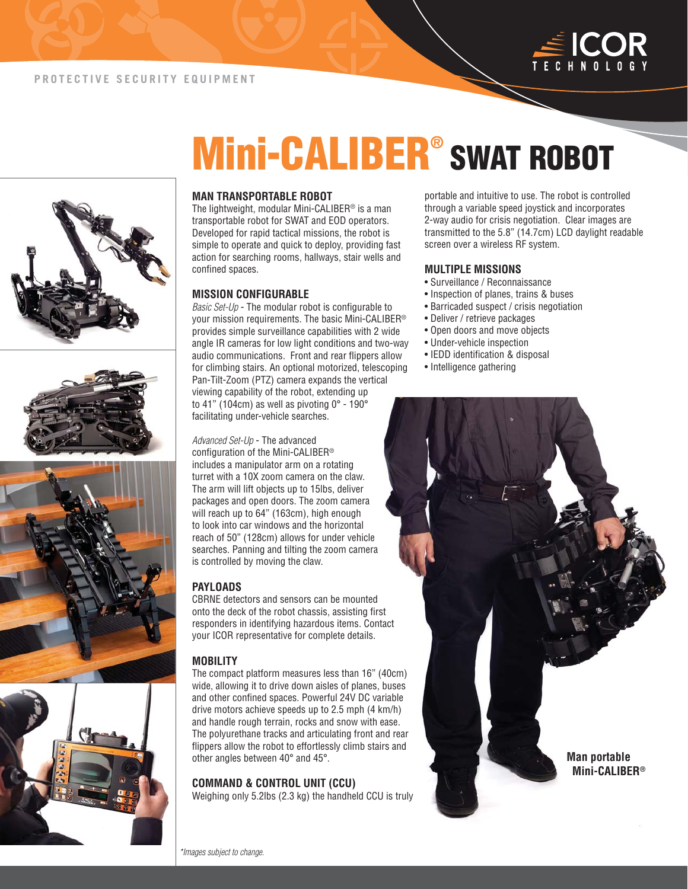









# **Mini-CALIBER® SWAT ROBOT**

#### **MAN TRANSPORTABLE ROBOT**

The lightweight, modular Mini-CALIBER® is a man transportable robot for SWAT and EOD operators. Developed for rapid tactical missions, the robot is simple to operate and quick to deploy, providing fast action for searching rooms, hallways, stair wells and confined spaces.

#### **MISSION CONFIGURABLE**

Basic Set-Up - The modular robot is configurable to your mission requirements. The basic Mini-CALIBER® provides simple surveillance capabilities with 2 wide angle IR cameras for low light conditions and two-way audio communications. Front and rear flippers allow for climbing stairs. An optional motorized, telescoping Pan-Tilt-Zoom (PTZ) camera expands the vertical viewing capability of the robot, extending up to 41" (104cm) as well as pivoting 0° - 190° facilitating under-vehicle searches.

Advanced Set-Up - The advanced configuration of the Mini-CALIBER® includes a manipulator arm on a rotating turret with a 10X zoom camera on the claw. The arm will lift objects up to 15lbs, deliver packages and open doors. The zoom camera will reach up to 64" (163cm), high enough to look into car windows and the horizontal reach of 50" (128cm) allows for under vehicle searches. Panning and tilting the zoom camera is controlled by moving the claw.

#### **PAYLOADS**

CBRNE detectors and sensors can be mounted onto the deck of the robot chassis, assisting first responders in identifying hazardous items. Contact your ICOR representative for complete details.

#### **MOBILITY**

The compact platform measures less than 16" (40cm) wide, allowing it to drive down aisles of planes, buses and other confined spaces. Powerful 24V DC variable drive motors achieve speeds up to 2.5 mph (4 km/h) and handle rough terrain, rocks and snow with ease. The polyurethane tracks and articulating front and rear flippers allow the robot to effortlessly climb stairs and other angles between 40° and 45°.

### **COMMAND & CONTROL UNIT (CCU)**

Weighing only 5.2lbs (2.3 kg) the handheld CCU is truly

portable and intuitive to use. The robot is controlled through a variable speed joystick and incorporates 2-way audio for crisis negotiation. Clear images are transmitted to the 5.8" (14.7cm) LCD daylight readable screen over a wireless RF system.

#### **MULTIPLE MISSIONS**

- Surveillance / Reconnaissance
- Inspection of planes, trains & buses
- Barricaded suspect / crisis negotiation
- Deliver / retrieve packages
- Open doors and move objects
- Under-vehicle inspection
- IEDD identification & disposal
- Intelligence gathering